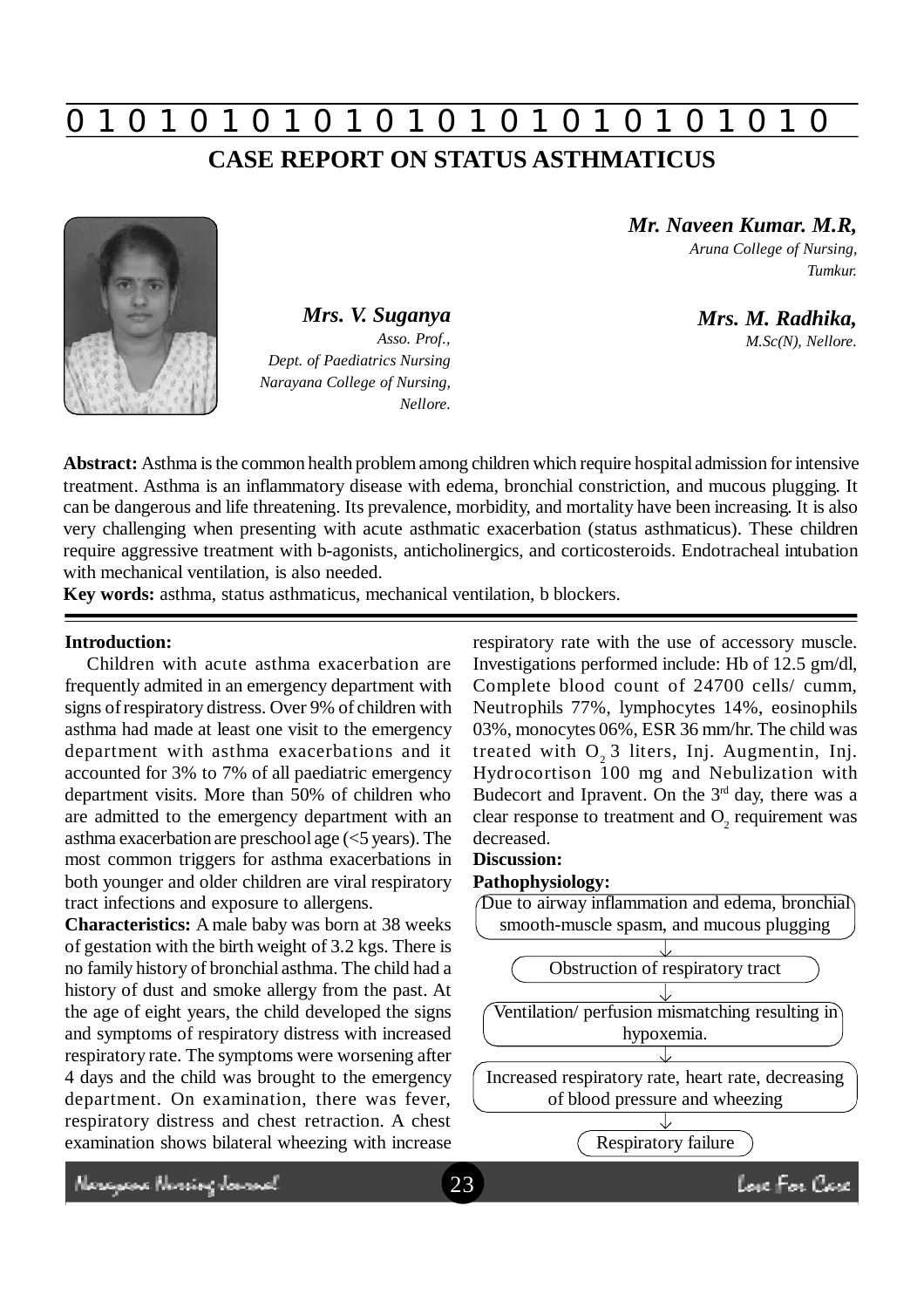# **0 z 0 z 0 z 0 z 0 z 0 z 0 z 0 z 0 z 0 z 0 z 0 z 0 CASE REPORT ON STATUS ASTHMATICUS**



*Mrs. V. Suganya Asso. Prof., Dept. of Paediatrics Nursing Narayana College of Nursing, Nellore.*

*Mr. Naveen Kumar. M.R,*

*Aruna College of Nursing, Tumkur.*

*Mrs. M. Radhika, M.Sc(N), Nellore.*

**Abstract:** Asthma is the common health problem among children which require hospital admission for intensive treatment. Asthma is an inflammatory disease with edema, bronchial constriction, and mucous plugging. It can be dangerous and life threatening. Its prevalence, morbidity, and mortality have been increasing. It is also very challenging when presenting with acute asthmatic exacerbation (status asthmaticus). These children require aggressive treatment with b-agonists, anticholinergics, and corticosteroids. Endotracheal intubation with mechanical ventilation, is also needed.

**Key words:** asthma, status asthmaticus, mechanical ventilation, b blockers.

### **Introduction:**

Children with acute asthma exacerbation are frequently admited in an emergency department with signs of respiratory distress. Over 9% of children with asthma had made at least one visit to the emergency department with asthma exacerbations and it accounted for 3% to 7% of all paediatric emergency department visits. More than 50% of children who are admitted to the emergency department with an asthma exacerbation are preschool age (<5 years). The most common triggers for asthma exacerbations in both younger and older children are viral respiratory tract infections and exposure to allergens.

**Characteristics:** A male baby was born at 38 weeks of gestation with the birth weight of 3.2 kgs. There is no family history of bronchial asthma. The child had a history of dust and smoke allergy from the past. At the age of eight years, the child developed the signs and symptoms of respiratory distress with increased respiratory rate. The symptoms were worsening after 4 days and the child was brought to the emergency department. On examination, there was fever, respiratory distress and chest retraction. A chest examination shows bilateral wheezing with increase

respiratory rate with the use of accessory muscle. Investigations performed include: Hb of 12.5 gm/dl, Complete blood count of 24700 cells/ cumm, Neutrophils 77%, lymphocytes 14%, eosinophils 03%, monocytes 06%, ESR 36 mm/hr. The child was treated with  $O<sub>2</sub>$  3 liters, Inj. Augmentin, Inj. Hydrocortison 100 mg and Nebulization with Budecort and Ipravent. On the  $3<sup>rd</sup>$  day, there was a clear response to treatment and  $O_2$  requirement was decreased.

#### **Discussion:**

#### **Pathophysiology:**



Neregewe Nereing Journal

love For Care